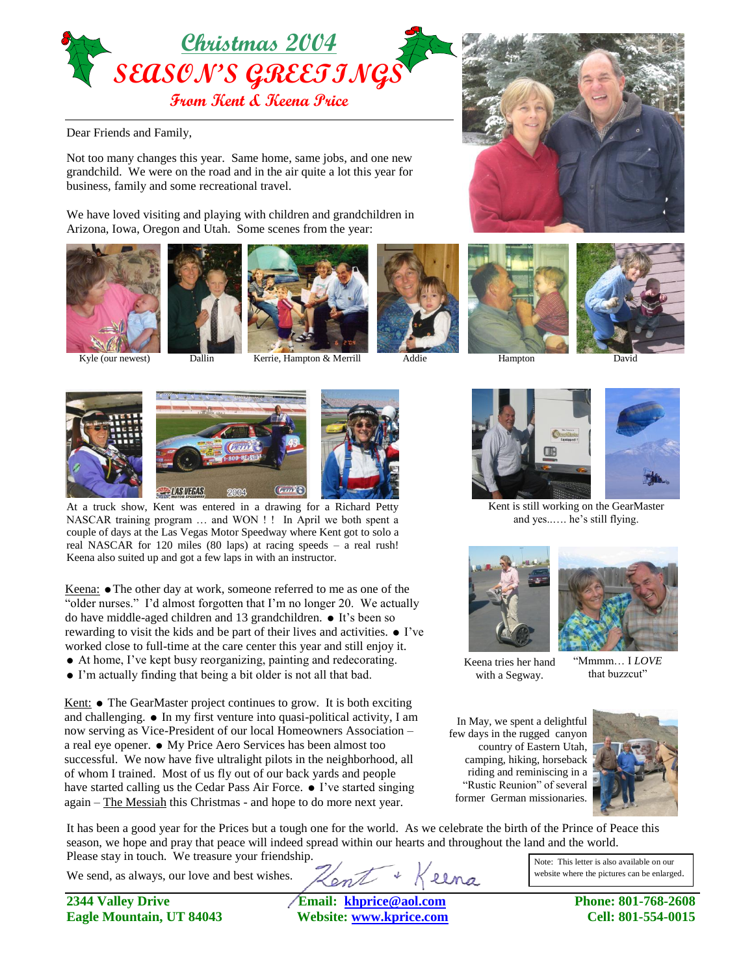

Dear Friends and Family,

Not too many changes this year. Same home, same jobs, and one new grandchild. We were on the road and in the air quite a lot this year for business, family and some recreational travel.

We have loved visiting and playing with children and grandchildren in Arizona, Iowa, Oregon and Utah. Some scenes from the year:







Kyle (our newest) Dallin Kerrie, Hampton & Merrill Addie Hampton













At a truck show, Kent was entered in a drawing for a Richard Petty NASCAR training program … and WON ! ! In April we both spent a couple of days at the Las Vegas Motor Speedway where Kent got to solo a real NASCAR for 120 miles (80 laps) at racing speeds – a real rush! Keena also suited up and got a few laps in with an instructor.

Keena: • The other day at work, someone referred to me as one of the "older nurses." I'd almost forgotten that I'm no longer 20. We actually do have middle-aged children and 13 grandchildren.  $\bullet$  It's been so rewarding to visit the kids and be part of their lives and activities.  $\bullet$  I've worked close to full-time at the care center this year and still enjoy it.

- At home, I've kept busy reorganizing, painting and redecorating.
- I'm actually finding that being a bit older is not all that bad.

Kent:  $\bullet$  The GearMaster project continues to grow. It is both exciting and challenging.  $\bullet$  In my first venture into quasi-political activity, I am now serving as Vice-President of our local Homeowners Association – a real eye opener.  $\bullet$  My Price Aero Services has been almost too successful. We now have five ultralight pilots in the neighborhood, all of whom I trained. Most of us fly out of our back yards and people have started calling us the Cedar Pass Air Force.  $\bullet$  I've started singing again – The Messiah this Christmas - and hope to do more next year.



Keena tries her hand with a Segway.

"Mmmm… I *LOVE* that buzzcut"

In May, we spent a delightful few days in the rugged canyon country of Eastern Utah, camping, hiking, horseback riding and reminiscing in a "Rustic Reunion" of several former German missionaries.



It has been a good year for the Prices but a tough one for the world. As we celebrate the birth of the Prince of Peace this season, we hope and pray that peace will indeed spread within our hearts and throughout the land and the world. Please stay in touch. We treasure your friendship.

We send, as always, our love and best wishes.

**2344 Valley Drive Email: [khprice@aol.com](mailto:khprice@aol.com) Phone: 801-768-2608 Eagle Mountain, UT 84043 Website: [www.kprice.com](http://www.kprice.com/) Cell: 801-554-0015**

llna

Note: This letter is also available on our website where the pictures can be enlarged.





Kent is still working on the GearMaster and yes..…. he's still flying.